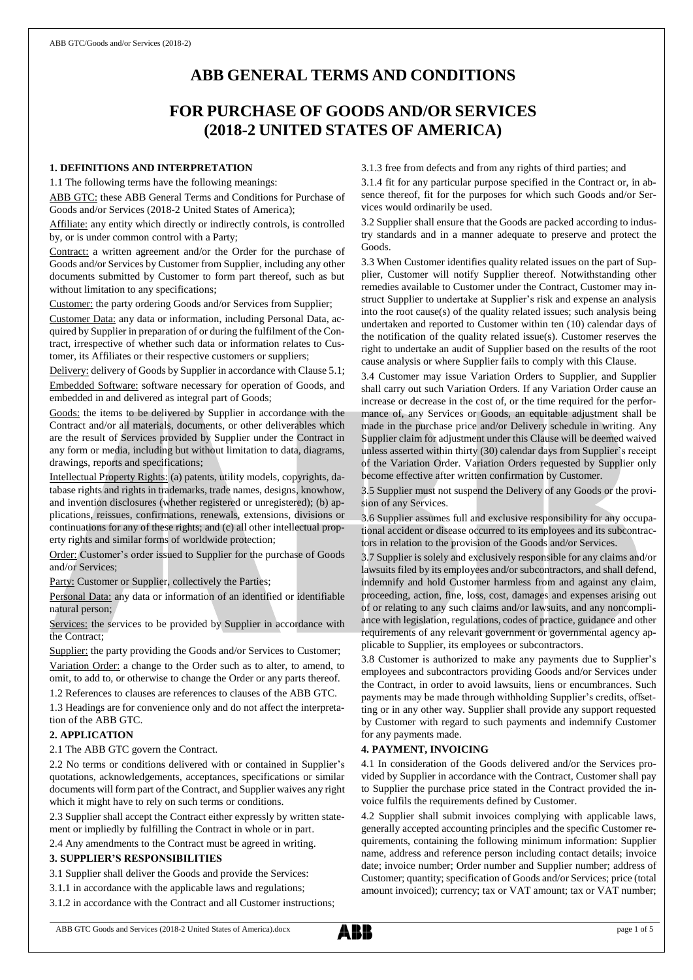# **ABB GENERAL TERMS AND CONDITIONS**

# **FOR PURCHASE OF GOODS AND/OR SERVICES (2018-2 UNITED STATES OF AMERICA)**

# **1. DEFINITIONS AND INTERPRETATION**

1.1 The following terms have the following meanings:

ABB GTC: these ABB General Terms and Conditions for Purchase of Goods and/or Services (2018-2 United States of America);

Affiliate: any entity which directly or indirectly controls, is controlled by, or is under common control with a Party;

Contract: a written agreement and/or the Order for the purchase of Goods and/or Services by Customer from Supplier, including any other documents submitted by Customer to form part thereof, such as but without limitation to any specifications;

Customer: the party ordering Goods and/or Services from Supplier;

Customer Data: any data or information, including Personal Data, acquired by Supplier in preparation of or during the fulfilment of the Contract, irrespective of whether such data or information relates to Customer, its Affiliates or their respective customers or suppliers;

Delivery: delivery of Goods by Supplier in accordance with Clause 5.1;

Embedded Software: software necessary for operation of Goods, and embedded in and delivered as integral part of Goods;

Goods: the items to be delivered by Supplier in accordance with the Contract and/or all materials, documents, or other deliverables which are the result of Services provided by Supplier under the Contract in any form or media, including but without limitation to data, diagrams, drawings, reports and specifications;

Intellectual Property Rights: (a) patents, utility models, copyrights, database rights and rights in trademarks, trade names, designs, knowhow, and invention disclosures (whether registered or unregistered); (b) applications, reissues, confirmations, renewals, extensions, divisions or continuations for any of these rights; and (c) all other intellectual property rights and similar forms of worldwide protection;

Order: Customer's order issued to Supplier for the purchase of Goods and/or Services;

Party: Customer or Supplier, collectively the Parties;

Personal Data: any data or information of an identified or identifiable natural person;

Services: the services to be provided by Supplier in accordance with the Contract;

Supplier: the party providing the Goods and/or Services to Customer; Variation Order: a change to the Order such as to alter, to amend, to omit, to add to, or otherwise to change the Order or any parts thereof.

1.2 References to clauses are references to clauses of the ABB GTC.

1.3 Headings are for convenience only and do not affect the interpretation of the ABB GTC.

# **2. APPLICATION**

2.1 The ABB GTC govern the Contract.

2.2 No terms or conditions delivered with or contained in Supplier's quotations, acknowledgements, acceptances, specifications or similar documents will form part of the Contract, and Supplier waives any right which it might have to rely on such terms or conditions.

2.3 Supplier shall accept the Contract either expressly by written statement or impliedly by fulfilling the Contract in whole or in part.

2.4 Any amendments to the Contract must be agreed in writing.

## **3. SUPPLIER'S RESPONSIBILITIES**

3.1 Supplier shall deliver the Goods and provide the Services:

3.1.1 in accordance with the applicable laws and regulations;

3.1.2 in accordance with the Contract and all Customer instructions;

3.1.3 free from defects and from any rights of third parties; and

3.1.4 fit for any particular purpose specified in the Contract or, in absence thereof, fit for the purposes for which such Goods and/or Services would ordinarily be used.

3.2 Supplier shall ensure that the Goods are packed according to industry standards and in a manner adequate to preserve and protect the Goods.

3.3 When Customer identifies quality related issues on the part of Supplier, Customer will notify Supplier thereof. Notwithstanding other remedies available to Customer under the Contract, Customer may instruct Supplier to undertake at Supplier's risk and expense an analysis into the root cause(s) of the quality related issues; such analysis being undertaken and reported to Customer within ten (10) calendar days of the notification of the quality related issue(s). Customer reserves the right to undertake an audit of Supplier based on the results of the root cause analysis or where Supplier fails to comply with this Clause.

3.4 Customer may issue Variation Orders to Supplier, and Supplier shall carry out such Variation Orders. If any Variation Order cause an increase or decrease in the cost of, or the time required for the performance of, any Services or Goods, an equitable adjustment shall be made in the purchase price and/or Delivery schedule in writing. Any Supplier claim for adjustment under this Clause will be deemed waived unless asserted within thirty (30) calendar days from Supplier's receipt of the Variation Order. Variation Orders requested by Supplier only become effective after written confirmation by Customer.

3.5 Supplier must not suspend the Delivery of any Goods or the provision of any Services.

3.6 Supplier assumes full and exclusive responsibility for any occupational accident or disease occurred to its employees and its subcontractors in relation to the provision of the Goods and/or Services.

3.7 Supplier is solely and exclusively responsible for any claims and/or lawsuits filed by its employees and/or subcontractors, and shall defend, indemnify and hold Customer harmless from and against any claim, proceeding, action, fine, loss, cost, damages and expenses arising out of or relating to any such claims and/or lawsuits, and any noncompliance with legislation, regulations, codes of practice, guidance and other requirements of any relevant government or governmental agency applicable to Supplier, its employees or subcontractors.

3.8 Customer is authorized to make any payments due to Supplier's employees and subcontractors providing Goods and/or Services under the Contract, in order to avoid lawsuits, liens or encumbrances. Such payments may be made through withholding Supplier's credits, offsetting or in any other way. Supplier shall provide any support requested by Customer with regard to such payments and indemnify Customer for any payments made.

## **4. PAYMENT, INVOICING**

4.1 In consideration of the Goods delivered and/or the Services provided by Supplier in accordance with the Contract, Customer shall pay to Supplier the purchase price stated in the Contract provided the invoice fulfils the requirements defined by Customer.

4.2 Supplier shall submit invoices complying with applicable laws, generally accepted accounting principles and the specific Customer requirements, containing the following minimum information: Supplier name, address and reference person including contact details; invoice date; invoice number; Order number and Supplier number; address of Customer; quantity; specification of Goods and/or Services; price (total amount invoiced); currency; tax or VAT amount; tax or VAT number;

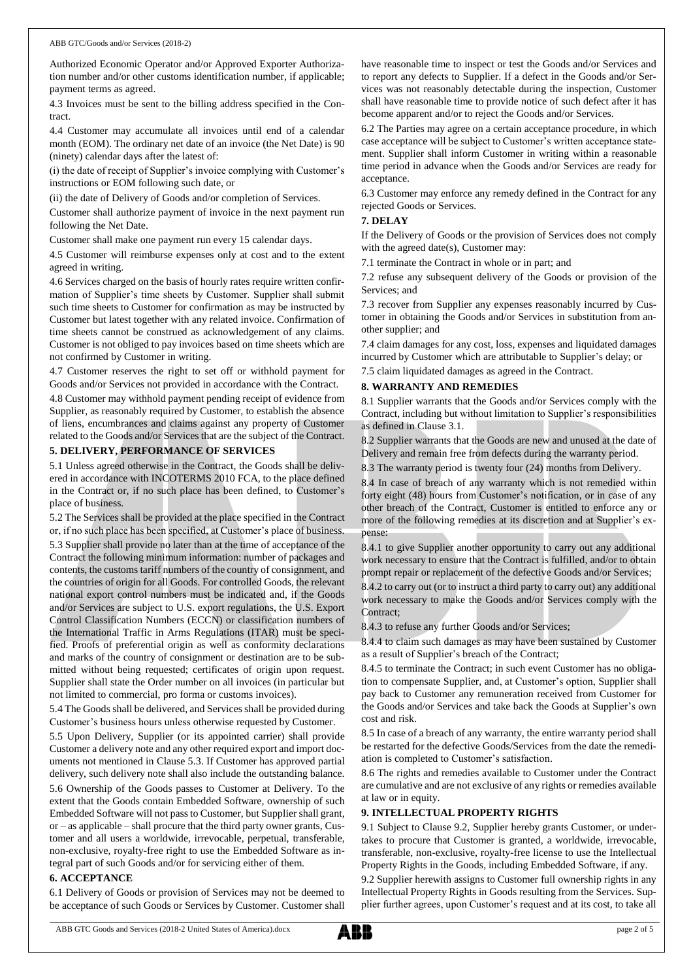Authorized Economic Operator and/or Approved Exporter Authorization number and/or other customs identification number, if applicable; payment terms as agreed.

4.3 Invoices must be sent to the billing address specified in the Contract.

4.4 Customer may accumulate all invoices until end of a calendar month (EOM). The ordinary net date of an invoice (the Net Date) is 90 (ninety) calendar days after the latest of:

(i) the date of receipt of Supplier's invoice complying with Customer's instructions or EOM following such date, or

(ii) the date of Delivery of Goods and/or completion of Services.

Customer shall authorize payment of invoice in the next payment run following the Net Date.

Customer shall make one payment run every 15 calendar days.

4.5 Customer will reimburse expenses only at cost and to the extent agreed in writing.

4.6 Services charged on the basis of hourly rates require written confirmation of Supplier's time sheets by Customer. Supplier shall submit such time sheets to Customer for confirmation as may be instructed by Customer but latest together with any related invoice. Confirmation of time sheets cannot be construed as acknowledgement of any claims. Customer is not obliged to pay invoices based on time sheets which are not confirmed by Customer in writing.

4.7 Customer reserves the right to set off or withhold payment for Goods and/or Services not provided in accordance with the Contract.

4.8 Customer may withhold payment pending receipt of evidence from Supplier, as reasonably required by Customer, to establish the absence of liens, encumbrances and claims against any property of Customer related to the Goods and/or Services that are the subject of the Contract.

# **5. DELIVERY, PERFORMANCE OF SERVICES**

5.1 Unless agreed otherwise in the Contract, the Goods shall be delivered in accordance with INCOTERMS 2010 FCA, to the place defined in the Contract or, if no such place has been defined, to Customer's place of business.

5.2 The Services shall be provided at the place specified in the Contract or, if no such place has been specified, at Customer's place of business. 5.3 Supplier shall provide no later than at the time of acceptance of the Contract the following minimum information: number of packages and contents, the customs tariff numbers of the country of consignment, and the countries of origin for all Goods. For controlled Goods, the relevant national export control numbers must be indicated and, if the Goods and/or Services are subject to U.S. export regulations, the U.S. Export Control Classification Numbers (ECCN) or classification numbers of the International Traffic in Arms Regulations (ITAR) must be specified. Proofs of preferential origin as well as conformity declarations and marks of the country of consignment or destination are to be submitted without being requested; certificates of origin upon request. Supplier shall state the Order number on all invoices (in particular but not limited to commercial, pro forma or customs invoices).

5.4 The Goods shall be delivered, and Services shall be provided during Customer's business hours unless otherwise requested by Customer.

5.5 Upon Delivery, Supplier (or its appointed carrier) shall provide Customer a delivery note and any other required export and import documents not mentioned in Clause 5.3. If Customer has approved partial delivery, such delivery note shall also include the outstanding balance.

5.6 Ownership of the Goods passes to Customer at Delivery. To the extent that the Goods contain Embedded Software, ownership of such Embedded Software will not passto Customer, but Supplier shall grant, or – as applicable – shall procure that the third party owner grants, Customer and all users a worldwide, irrevocable, perpetual, transferable, non-exclusive, royalty-free right to use the Embedded Software as integral part of such Goods and/or for servicing either of them.

## **6. ACCEPTANCE**

6.1 Delivery of Goods or provision of Services may not be deemed to be acceptance of such Goods or Services by Customer. Customer shall

have reasonable time to inspect or test the Goods and/or Services and to report any defects to Supplier. If a defect in the Goods and/or Services was not reasonably detectable during the inspection, Customer shall have reasonable time to provide notice of such defect after it has become apparent and/or to reject the Goods and/or Services.

6.2 The Parties may agree on a certain acceptance procedure, in which case acceptance will be subject to Customer's written acceptance statement. Supplier shall inform Customer in writing within a reasonable time period in advance when the Goods and/or Services are ready for acceptance.

6.3 Customer may enforce any remedy defined in the Contract for any rejected Goods or Services.

## **7. DELAY**

If the Delivery of Goods or the provision of Services does not comply with the agreed date(s), Customer may:

7.1 terminate the Contract in whole or in part; and

7.2 refuse any subsequent delivery of the Goods or provision of the Services; and

7.3 recover from Supplier any expenses reasonably incurred by Customer in obtaining the Goods and/or Services in substitution from another supplier; and

7.4 claim damages for any cost, loss, expenses and liquidated damages incurred by Customer which are attributable to Supplier's delay; or

7.5 claim liquidated damages as agreed in the Contract.

## **8. WARRANTY AND REMEDIES**

8.1 Supplier warrants that the Goods and/or Services comply with the Contract, including but without limitation to Supplier's responsibilities as defined in Clause 3.1.

8.2 Supplier warrants that the Goods are new and unused at the date of Delivery and remain free from defects during the warranty period.

8.3 The warranty period is twenty four (24) months from Delivery.

8.4 In case of breach of any warranty which is not remedied within forty eight (48) hours from Customer's notification, or in case of any other breach of the Contract, Customer is entitled to enforce any or more of the following remedies at its discretion and at Supplier's expense:

8.4.1 to give Supplier another opportunity to carry out any additional work necessary to ensure that the Contract is fulfilled, and/or to obtain prompt repair or replacement of the defective Goods and/or Services;

8.4.2 to carry out (or to instruct a third party to carry out) any additional work necessary to make the Goods and/or Services comply with the Contract;

8.4.3 to refuse any further Goods and/or Services;

8.4.4 to claim such damages as may have been sustained by Customer as a result of Supplier's breach of the Contract;

8.4.5 to terminate the Contract; in such event Customer has no obligation to compensate Supplier, and, at Customer's option, Supplier shall pay back to Customer any remuneration received from Customer for the Goods and/or Services and take back the Goods at Supplier's own cost and risk.

8.5 In case of a breach of any warranty, the entire warranty period shall be restarted for the defective Goods/Services from the date the remediation is completed to Customer's satisfaction.

8.6 The rights and remedies available to Customer under the Contract are cumulative and are not exclusive of any rights or remedies available at law or in equity.

## **9. INTELLECTUAL PROPERTY RIGHTS**

9.1 Subject to Clause 9.2, Supplier hereby grants Customer, or undertakes to procure that Customer is granted, a worldwide, irrevocable, transferable, non-exclusive, royalty-free license to use the Intellectual Property Rights in the Goods, including Embedded Software, if any.

9.2 Supplier herewith assigns to Customer full ownership rights in any Intellectual Property Rights in Goods resulting from the Services. Supplier further agrees, upon Customer's request and at its cost, to take all

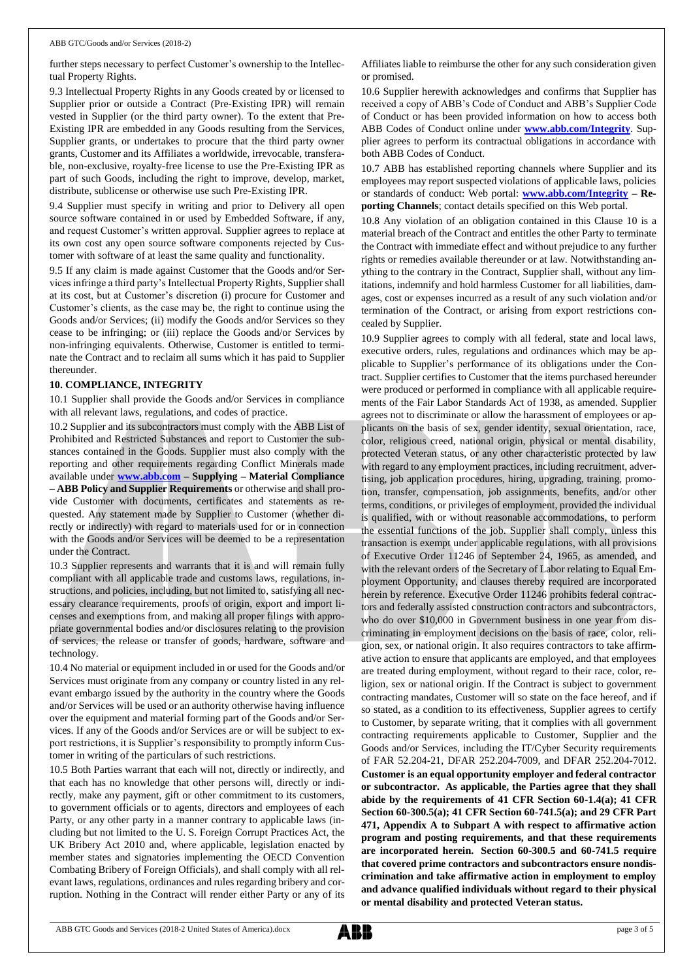further steps necessary to perfect Customer's ownership to the Intellectual Property Rights.

9.3 Intellectual Property Rights in any Goods created by or licensed to Supplier prior or outside a Contract (Pre-Existing IPR) will remain vested in Supplier (or the third party owner). To the extent that Pre-Existing IPR are embedded in any Goods resulting from the Services, Supplier grants, or undertakes to procure that the third party owner grants, Customer and its Affiliates a worldwide, irrevocable, transferable, non-exclusive, royalty-free license to use the Pre-Existing IPR as part of such Goods, including the right to improve, develop, market, distribute, sublicense or otherwise use such Pre-Existing IPR.

9.4 Supplier must specify in writing and prior to Delivery all open source software contained in or used by Embedded Software, if any, and request Customer's written approval. Supplier agrees to replace at its own cost any open source software components rejected by Customer with software of at least the same quality and functionality.

9.5 If any claim is made against Customer that the Goods and/or Services infringe a third party's Intellectual Property Rights, Supplier shall at its cost, but at Customer's discretion (i) procure for Customer and Customer's clients, as the case may be, the right to continue using the Goods and/or Services; (ii) modify the Goods and/or Services so they cease to be infringing; or (iii) replace the Goods and/or Services by non-infringing equivalents. Otherwise, Customer is entitled to terminate the Contract and to reclaim all sums which it has paid to Supplier thereunder.

#### **10. COMPLIANCE, INTEGRITY**

10.1 Supplier shall provide the Goods and/or Services in compliance with all relevant laws, regulations, and codes of practice.

10.2 Supplier and its subcontractors must comply with the ABB List of Prohibited and Restricted Substances and report to Customer the substances contained in the Goods. Supplier must also comply with the reporting and other requirements regarding Conflict Minerals made available under **[www.abb.com](http://www.abb.com/) – Supplying – Material Compliance – ABB Policy and Supplier Requirements** or otherwise and shall provide Customer with documents, certificates and statements as requested. Any statement made by Supplier to Customer (whether directly or indirectly) with regard to materials used for or in connection with the Goods and/or Services will be deemed to be a representation under the Contract.

10.3 Supplier represents and warrants that it is and will remain fully compliant with all applicable trade and customs laws, regulations, instructions, and policies, including, but not limited to, satisfying all necessary clearance requirements, proofs of origin, export and import licenses and exemptions from, and making all proper filings with appropriate governmental bodies and/or disclosures relating to the provision of services, the release or transfer of goods, hardware, software and technology.

10.4 No material or equipment included in or used for the Goods and/or Services must originate from any company or country listed in any relevant embargo issued by the authority in the country where the Goods and/or Services will be used or an authority otherwise having influence over the equipment and material forming part of the Goods and/or Services. If any of the Goods and/or Services are or will be subject to export restrictions, it is Supplier's responsibility to promptly inform Customer in writing of the particulars of such restrictions.

10.5 Both Parties warrant that each will not, directly or indirectly, and that each has no knowledge that other persons will, directly or indirectly, make any payment, gift or other commitment to its customers, to government officials or to agents, directors and employees of each Party, or any other party in a manner contrary to applicable laws (including but not limited to the U. S. Foreign Corrupt Practices Act, the UK Bribery Act 2010 and, where applicable, legislation enacted by member states and signatories implementing the OECD Convention Combating Bribery of Foreign Officials), and shall comply with all relevant laws, regulations, ordinances and rules regarding bribery and corruption. Nothing in the Contract will render either Party or any of its

Affiliates liable to reimburse the other for any such consideration given or promised.

10.6 Supplier herewith acknowledges and confirms that Supplier has received a copy of ABB's Code of Conduct and ABB's Supplier Code of Conduct or has been provided information on how to access both ABB Codes of Conduct online under **[www.abb.com/Integrity](http://www.abb.com/Integrity)**. Supplier agrees to perform its contractual obligations in accordance with both ABB Codes of Conduct.

10.7 ABB has established reporting channels where Supplier and its employees may report suspected violations of applicable laws, policies or standards of conduct: Web portal: **[www.abb.com/Integrity](http://www.abb.com/Integrity) – Reporting Channels**; contact details specified on this Web portal.

10.8 Any violation of an obligation contained in this Clause 10 is a material breach of the Contract and entitles the other Party to terminate the Contract with immediate effect and without prejudice to any further rights or remedies available thereunder or at law. Notwithstanding anything to the contrary in the Contract, Supplier shall, without any limitations, indemnify and hold harmless Customer for all liabilities, damages, cost or expenses incurred as a result of any such violation and/or termination of the Contract, or arising from export restrictions concealed by Supplier.

10.9 Supplier agrees to comply with all federal, state and local laws, executive orders, rules, regulations and ordinances which may be applicable to Supplier's performance of its obligations under the Contract. Supplier certifies to Customer that the items purchased hereunder were produced or performed in compliance with all applicable requirements of the Fair Labor Standards Act of 1938, as amended. Supplier agrees not to discriminate or allow the harassment of employees or applicants on the basis of sex, gender identity, sexual orientation, race, color, religious creed, national origin, physical or mental disability, protected Veteran status, or any other characteristic protected by law with regard to any employment practices, including recruitment, advertising, job application procedures, hiring, upgrading, training, promotion, transfer, compensation, job assignments, benefits, and/or other terms, conditions, or privileges of employment, provided the individual is qualified, with or without reasonable accommodations, to perform the essential functions of the job. Supplier shall comply, unless this transaction is exempt under applicable regulations, with all provisions of Executive Order 11246 of September 24, 1965, as amended, and with the relevant orders of the Secretary of Labor relating to Equal Employment Opportunity, and clauses thereby required are incorporated herein by reference. Executive Order 11246 prohibits federal contractors and federally assisted construction contractors and subcontractors, who do over \$10,000 in Government business in one year from discriminating in employment decisions on the basis of race, color, religion, sex, or national origin. It also requires contractors to take affirmative action to ensure that applicants are employed, and that employees are treated during employment, without regard to their race, color, religion, sex or national origin. If the Contract is subject to government contracting mandates, Customer will so state on the face hereof, and if so stated, as a condition to its effectiveness, Supplier agrees to certify to Customer, by separate writing, that it complies with all government contracting requirements applicable to Customer, Supplier and the Goods and/or Services, including the IT/Cyber Security requirements of FAR 52.204-21, DFAR 252.204-7009, and DFAR 252.204-7012. **Customer is an equal opportunity employer and federal contractor or subcontractor. As applicable, the Parties agree that they shall abide by the requirements of 41 CFR Section 60-1.4(a); 41 CFR Section 60-300.5(a); 41 CFR Section 60-741.5(a); and 29 CFR Part 471, Appendix A to Subpart A with respect to affirmative action program and posting requirements, and that these requirements are incorporated herein. Section 60-300.5 and 60-741.5 require that covered prime contractors and subcontractors ensure nondiscrimination and take affirmative action in employment to employ and advance qualified individuals without regard to their physical or mental disability and protected Veteran status.**

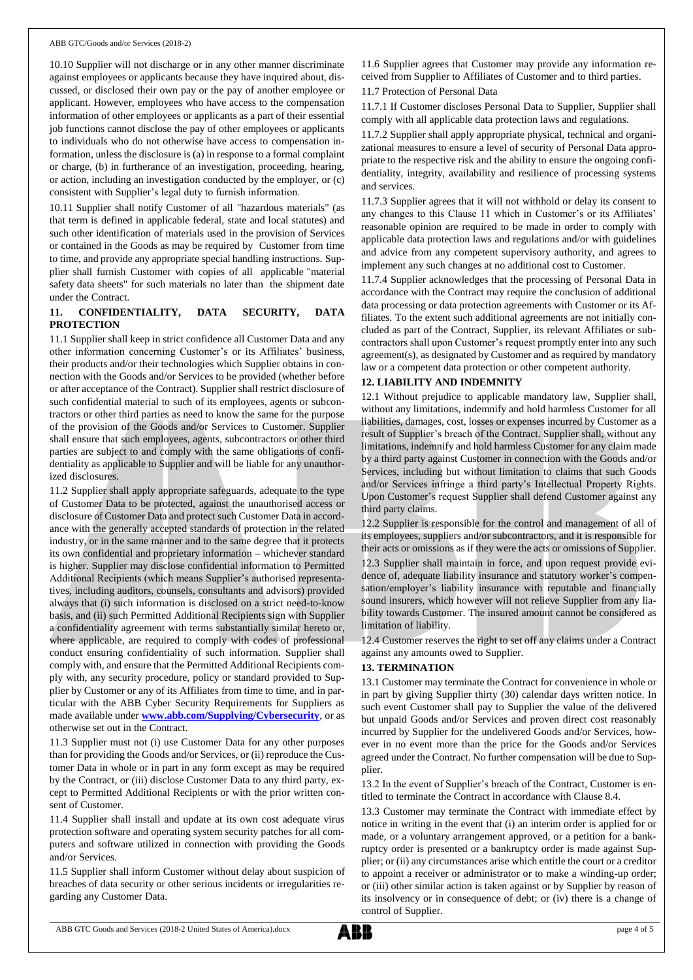10.10 Supplier will not discharge or in any other manner discriminate against employees or applicants because they have inquired about, discussed, or disclosed their own pay or the pay of another employee or applicant. However, employees who have access to the compensation information of other employees or applicants as a part of their essential job functions cannot disclose the pay of other employees or applicants to individuals who do not otherwise have access to compensation information, unless the disclosure is (a) in response to a formal complaint or charge, (b) in furtherance of an investigation, proceeding, hearing, or action, including an investigation conducted by the employer, or (c) consistent with Supplier's legal duty to furnish information.

10.11 Supplier shall notify Customer of all "hazardous materials" (as that term is defined in applicable federal, state and local statutes) and such other identification of materials used in the provision of Services or contained in the Goods as may be required by Customer from time to time, and provide any appropriate special handling instructions. Supplier shall furnish Customer with copies of all applicable "material safety data sheets" for such materials no later than the shipment date under the Contract.

# **11. CONFIDENTIALITY, DATA SECURITY, DATA PROTECTION**

11.1 Supplier shall keep in strict confidence all Customer Data and any other information concerning Customer's or its Affiliates' business, their products and/or their technologies which Supplier obtains in connection with the Goods and/or Services to be provided (whether before or after acceptance of the Contract). Supplier shall restrict disclosure of such confidential material to such of its employees, agents or subcontractors or other third parties as need to know the same for the purpose of the provision of the Goods and/or Services to Customer. Supplier shall ensure that such employees, agents, subcontractors or other third parties are subject to and comply with the same obligations of confidentiality as applicable to Supplier and will be liable for any unauthorized disclosures.

11.2 Supplier shall apply appropriate safeguards, adequate to the type of Customer Data to be protected, against the unauthorised access or disclosure of Customer Data and protect such Customer Data in accordance with the generally accepted standards of protection in the related industry, or in the same manner and to the same degree that it protects its own confidential and proprietary information – whichever standard is higher. Supplier may disclose confidential information to Permitted Additional Recipients (which means Supplier's authorised representatives, including auditors, counsels, consultants and advisors) provided always that (i) such information is disclosed on a strict need-to-know basis, and (ii) such Permitted Additional Recipients sign with Supplier a confidentiality agreement with terms substantially similar hereto or, where applicable, are required to comply with codes of professional conduct ensuring confidentiality of such information. Supplier shall comply with, and ensure that the Permitted Additional Recipients comply with, any security procedure, policy or standard provided to Supplier by Customer or any of its Affiliates from time to time, and in particular with the ABB Cyber Security Requirements for Suppliers as made available under **[www.abb.com/Supplying/Cybersecurity](http://www.abb.com/Supplying/Cybersecurity)**, or as otherwise set out in the Contract.

11.3 Supplier must not (i) use Customer Data for any other purposes than for providing the Goods and/or Services, or (ii) reproduce the Customer Data in whole or in part in any form except as may be required by the Contract, or (iii) disclose Customer Data to any third party, except to Permitted Additional Recipients or with the prior written consent of Customer.

11.4 Supplier shall install and update at its own cost adequate virus protection software and operating system security patches for all computers and software utilized in connection with providing the Goods and/or Services.

11.5 Supplier shall inform Customer without delay about suspicion of breaches of data security or other serious incidents or irregularities regarding any Customer Data.

11.6 Supplier agrees that Customer may provide any information received from Supplier to Affiliates of Customer and to third parties.

11.7 Protection of Personal Data

11.7.1 If Customer discloses Personal Data to Supplier, Supplier shall comply with all applicable data protection laws and regulations.

11.7.2 Supplier shall apply appropriate physical, technical and organizational measures to ensure a level of security of Personal Data appropriate to the respective risk and the ability to ensure the ongoing confidentiality, integrity, availability and resilience of processing systems and services.

11.7.3 Supplier agrees that it will not withhold or delay its consent to any changes to this Clause 11 which in Customer's or its Affiliates' reasonable opinion are required to be made in order to comply with applicable data protection laws and regulations and/or with guidelines and advice from any competent supervisory authority, and agrees to implement any such changes at no additional cost to Customer.

11.7.4 Supplier acknowledges that the processing of Personal Data in accordance with the Contract may require the conclusion of additional data processing or data protection agreements with Customer or its Affiliates. To the extent such additional agreements are not initially concluded as part of the Contract, Supplier, its relevant Affiliates or subcontractors shall upon Customer's request promptly enter into any such agreement(s), as designated by Customer and as required by mandatory law or a competent data protection or other competent authority.

## **12. LIABILITY AND INDEMNITY**

12.1 Without prejudice to applicable mandatory law, Supplier shall, without any limitations, indemnify and hold harmless Customer for all liabilities, damages, cost, losses or expenses incurred by Customer as a result of Supplier's breach of the Contract. Supplier shall, without any limitations, indemnify and hold harmless Customer for any claim made by a third party against Customer in connection with the Goods and/or Services, including but without limitation to claims that such Goods and/or Services infringe a third party's Intellectual Property Rights. Upon Customer's request Supplier shall defend Customer against any third party claims.

12.2 Supplier is responsible for the control and management of all of its employees, suppliers and/or subcontractors, and it is responsible for their acts or omissions as if they were the acts or omissions of Supplier.

12.3 Supplier shall maintain in force, and upon request provide evidence of, adequate liability insurance and statutory worker's compensation/employer's liability insurance with reputable and financially sound insurers, which however will not relieve Supplier from any liability towards Customer. The insured amount cannot be considered as limitation of liability.

12.4 Customer reserves the right to set off any claims under a Contract against any amounts owed to Supplier.

# **13. TERMINATION**

13.1 Customer may terminate the Contract for convenience in whole or in part by giving Supplier thirty (30) calendar days written notice. In such event Customer shall pay to Supplier the value of the delivered but unpaid Goods and/or Services and proven direct cost reasonably incurred by Supplier for the undelivered Goods and/or Services, however in no event more than the price for the Goods and/or Services agreed under the Contract. No further compensation will be due to Supplier.

13.2 In the event of Supplier's breach of the Contract, Customer is entitled to terminate the Contract in accordance with Clause 8.4.

13.3 Customer may terminate the Contract with immediate effect by notice in writing in the event that (i) an interim order is applied for or made, or a voluntary arrangement approved, or a petition for a bankruptcy order is presented or a bankruptcy order is made against Supplier; or (ii) any circumstances arise which entitle the court or a creditor to appoint a receiver or administrator or to make a winding-up order; or (iii) other similar action is taken against or by Supplier by reason of its insolvency or in consequence of debt; or (iv) there is a change of control of Supplier.